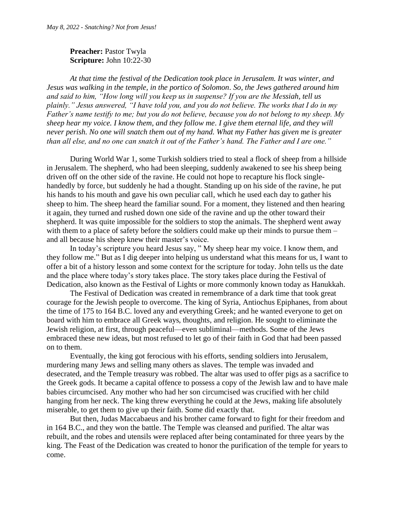## **Preacher: Pastor Twyla Scripture:** John 10:22-30

*At that time the festival of the Dedication took place in Jerusalem. It was winter, and Jesus was walking in the temple, in the portico of Solomon. So, the Jews gathered around him and said to him, "How long will you keep us in suspense? If you are the Messiah, tell us plainly." Jesus answered, "I have told you, and you do not believe. The works that I do in my Father's name testify to me; but you do not believe, because you do not belong to my sheep. My sheep hear my voice. I know them, and they follow me. I give them eternal life, and they will never perish. No one will snatch them out of my hand. What my Father has given me is greater than all else, and no one can snatch it out of the Father's hand. The Father and I are one."*

During World War 1, some Turkish soldiers tried to steal a flock of sheep from a hillside in Jerusalem. The shepherd, who had been sleeping, suddenly awakened to see his sheep being driven off on the other side of the ravine. He could not hope to recapture his flock singlehandedly by force, but suddenly he had a thought. Standing up on his side of the ravine, he put his hands to his mouth and gave his own peculiar call, which he used each day to gather his sheep to him. The sheep heard the familiar sound. For a moment, they listened and then hearing it again, they turned and rushed down one side of the ravine and up the other toward their shepherd. It was quite impossible for the soldiers to stop the animals. The shepherd went away with them to a place of safety before the soldiers could make up their minds to pursue them – and all because his sheep knew their master's voice.

In today's scripture you heard Jesus say, " My sheep hear my voice. I know them, and they follow me." But as I dig deeper into helping us understand what this means for us, I want to offer a bit of a history lesson and some context for the scripture for today. John tells us the date and the place where today's story takes place. The story takes place during the Festival of Dedication, also known as the Festival of Lights or more commonly known today as Hanukkah.

The Festival of Dedication was created in remembrance of a dark time that took great courage for the Jewish people to overcome. The king of Syria, Antiochus Epiphanes, from about the time of 175 to 164 B.C. loved any and everything Greek; and he wanted everyone to get on board with him to embrace all Greek ways, thoughts, and religion. He sought to eliminate the Jewish religion, at first, through peaceful—even subliminal—methods. Some of the Jews embraced these new ideas, but most refused to let go of their faith in God that had been passed on to them.

Eventually, the king got ferocious with his efforts, sending soldiers into Jerusalem, murdering many Jews and selling many others as slaves. The temple was invaded and desecrated, and the Temple treasury was robbed. The altar was used to offer pigs as a sacrifice to the Greek gods. It became a capital offence to possess a copy of the Jewish law and to have male babies circumcised. Any mother who had her son circumcised was crucified with her child hanging from her neck. The king threw everything he could at the Jews, making life absolutely miserable, to get them to give up their faith. Some did exactly that.

But then, Judas Maccabaeus and his brother came forward to fight for their freedom and in 164 B.C., and they won the battle. The Temple was cleansed and purified. The altar was rebuilt, and the robes and utensils were replaced after being contaminated for three years by the king. The Feast of the Dedication was created to honor the purification of the temple for years to come.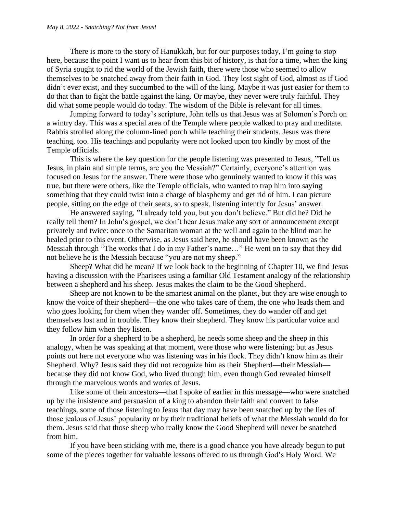There is more to the story of Hanukkah, but for our purposes today, I'm going to stop here, because the point I want us to hear from this bit of history, is that for a time, when the king of Syria sought to rid the world of the Jewish faith, there were those who seemed to allow themselves to be snatched away from their faith in God. They lost sight of God, almost as if God didn't ever exist, and they succumbed to the will of the king. Maybe it was just easier for them to do that than to fight the battle against the king. Or maybe, they never were truly faithful. They did what some people would do today. The wisdom of the Bible is relevant for all times.

Jumping forward to today's scripture, John tells us that Jesus was at Solomon's Porch on a wintry day. This was a special area of the Temple where people walked to pray and meditate. Rabbis strolled along the column-lined porch while teaching their students. Jesus was there teaching, too. His teachings and popularity were not looked upon too kindly by most of the Temple officials.

This is where the key question for the people listening was presented to Jesus, "Tell us Jesus, in plain and simple terms, are you the Messiah?" Certainly, everyone's attention was focused on Jesus for the answer. There were those who genuinely wanted to know if this was true, but there were others, like the Temple officials, who wanted to trap him into saying something that they could twist into a charge of blasphemy and get rid of him. I can picture people, sitting on the edge of their seats, so to speak, listening intently for Jesus' answer.

He answered saying, "I already told you, but you don't believe." But did he? Did he really tell them? In John's gospel, we don't hear Jesus make any sort of announcement except privately and twice: once to the Samaritan woman at the well and again to the blind man he healed prior to this event. Otherwise, as Jesus said here, he should have been known as the Messiah through "The works that I do in my Father's name…" He went on to say that they did not believe he is the Messiah because "you are not my sheep."

Sheep? What did he mean? If we look back to the beginning of Chapter 10, we find Jesus having a discussion with the Pharisees using a familiar Old Testament analogy of the relationship between a shepherd and his sheep. Jesus makes the claim to be the Good Shepherd.

Sheep are not known to be the smartest animal on the planet, but they are wise enough to know the voice of their shepherd—the one who takes care of them, the one who leads them and who goes looking for them when they wander off. Sometimes, they do wander off and get themselves lost and in trouble. They know their shepherd. They know his particular voice and they follow him when they listen.

In order for a shepherd to be a shepherd, he needs some sheep and the sheep in this analogy, when he was speaking at that moment, were those who were listening; but as Jesus points out here not everyone who was listening was in his flock. They didn't know him as their Shepherd. Why? Jesus said they did not recognize him as their Shepherd—their Messiah because they did not know God, who lived through him, even though God revealed himself through the marvelous words and works of Jesus.

Like some of their ancestors—that I spoke of earlier in this message—who were snatched up by the insistence and persuasion of a king to abandon their faith and convert to false teachings, some of those listening to Jesus that day may have been snatched up by the lies of those jealous of Jesus' popularity or by their traditional beliefs of what the Messiah would do for them. Jesus said that those sheep who really know the Good Shepherd will never be snatched from him.

If you have been sticking with me, there is a good chance you have already begun to put some of the pieces together for valuable lessons offered to us through God's Holy Word. We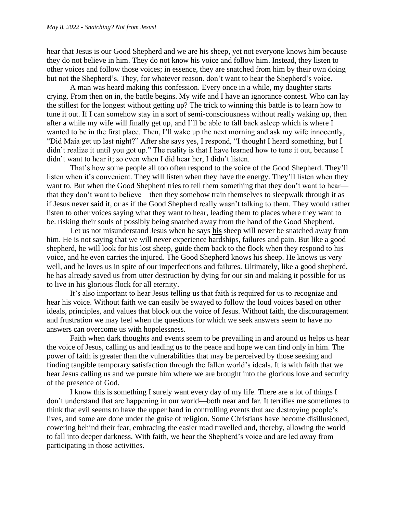hear that Jesus is our Good Shepherd and we are his sheep, yet not everyone knows him because they do not believe in him. They do not know his voice and follow him. Instead, they listen to other voices and follow those voices; in essence, they are snatched from him by their own doing but not the Shepherd's. They, for whatever reason. don't want to hear the Shepherd's voice.

A man was heard making this confession. Every once in a while, my daughter starts crying. From then on in, the battle begins. My wife and I have an ignorance contest. Who can lay the stillest for the longest without getting up? The trick to winning this battle is to learn how to tune it out. If I can somehow stay in a sort of semi-consciousness without really waking up, then after a while my wife will finally get up, and I'll be able to fall back asleep which is where I wanted to be in the first place. Then, I'll wake up the next morning and ask my wife innocently, "Did Maia get up last night?" After she says yes, I respond, "I thought I heard something, but I didn't realize it until you got up." The reality is that I have learned how to tune it out, because I didn't want to hear it; so even when I did hear her, I didn't listen.

That's how some people all too often respond to the voice of the Good Shepherd. They'll listen when it's convenient. They will listen when they have the energy. They'll listen when they want to. But when the Good Shepherd tries to tell them something that they don't want to hear that they don't want to believe—then they somehow train themselves to sleepwalk through it as if Jesus never said it, or as if the Good Shepherd really wasn't talking to them. They would rather listen to other voices saying what they want to hear, leading them to places where they want to be. risking their souls of possibly being snatched away from the hand of the Good Shepherd.

Let us not misunderstand Jesus when he says **his** sheep will never be snatched away from him. He is not saying that we will never experience hardships, failures and pain. But like a good shepherd, he will look for his lost sheep, guide them back to the flock when they respond to his voice, and he even carries the injured. The Good Shepherd knows his sheep. He knows us very well, and he loves us in spite of our imperfections and failures. Ultimately, like a good shepherd, he has already saved us from utter destruction by dying for our sin and making it possible for us to live in his glorious flock for all eternity.

It's also important to hear Jesus telling us that faith is required for us to recognize and hear his voice. Without faith we can easily be swayed to follow the loud voices based on other ideals, principles, and values that block out the voice of Jesus. Without faith, the discouragement and frustration we may feel when the questions for which we seek answers seem to have no answers can overcome us with hopelessness.

Faith when dark thoughts and events seem to be prevailing in and around us helps us hear the voice of Jesus, calling us and leading us to the peace and hope we can find only in him. The power of faith is greater than the vulnerabilities that may be perceived by those seeking and finding tangible temporary satisfaction through the fallen world's ideals. It is with faith that we hear Jesus calling us and we pursue him where we are brought into the glorious love and security of the presence of God.

I know this is something I surely want every day of my life. There are a lot of things I don't understand that are happening in our world—both near and far. It terrifies me sometimes to think that evil seems to have the upper hand in controlling events that are destroying people's lives, and some are done under the guise of religion. Some Christians have become disillusioned, cowering behind their fear, embracing the easier road travelled and, thereby, allowing the world to fall into deeper darkness. With faith, we hear the Shepherd's voice and are led away from participating in those activities.